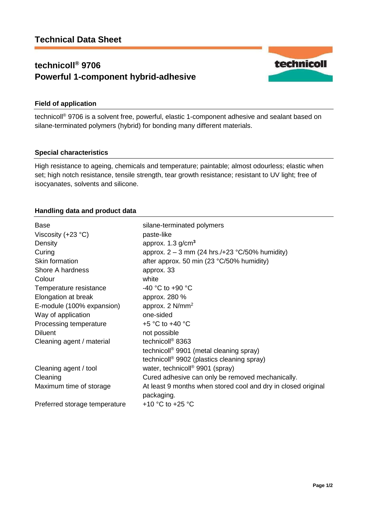# **technicoll® 9706 Powerful 1-component hybrid-adhesive**



## **Field of application**

technicoll® 9706 is a solvent free, powerful, elastic 1-component adhesive and sealant based on silane-terminated polymers (hybrid) for bonding many different materials.

### **Special characteristics**

High resistance to ageing, chemicals and temperature; paintable; almost odourless; elastic when set; high notch resistance, tensile strength, tear growth resistance; resistant to UV light; free of isocyanates, solvents and silicone.

### **Handling data and product data**

| Base                          | silane-terminated polymers                                    |
|-------------------------------|---------------------------------------------------------------|
| Viscosity $(+23 °C)$          | paste-like                                                    |
| Density                       | approx. $1.3$ g/cm <sup>3</sup>                               |
| Curing                        | approx. $2 - 3$ mm (24 hrs./+23 °C/50% humidity)              |
| Skin formation                | after approx. 50 min (23 $\degree$ C/50% humidity)            |
| Shore A hardness              | approx. 33                                                    |
| Colour                        | white                                                         |
| Temperature resistance        | -40 °C to +90 °C                                              |
| Elongation at break           | approx. 280 %                                                 |
| E-module (100% expansion)     | approx. 2 N/mm <sup>2</sup>                                   |
| Way of application            | one-sided                                                     |
| Processing temperature        | +5 $\degree$ C to +40 $\degree$ C                             |
| <b>Diluent</b>                | not possible                                                  |
| Cleaning agent / material     | technicoll <sup>®</sup> 8363                                  |
|                               | technicoll <sup>®</sup> 9901 (metal cleaning spray)           |
|                               | technicoll <sup>®</sup> 9902 (plastics cleaning spray)        |
| Cleaning agent / tool         | water, technicoll <sup>®</sup> 9901 (spray)                   |
| Cleaning                      | Cured adhesive can only be removed mechanically.              |
| Maximum time of storage       | At least 9 months when stored cool and dry in closed original |
|                               | packaging.                                                    |
| Preferred storage temperature | +10 $\degree$ C to +25 $\degree$ C                            |